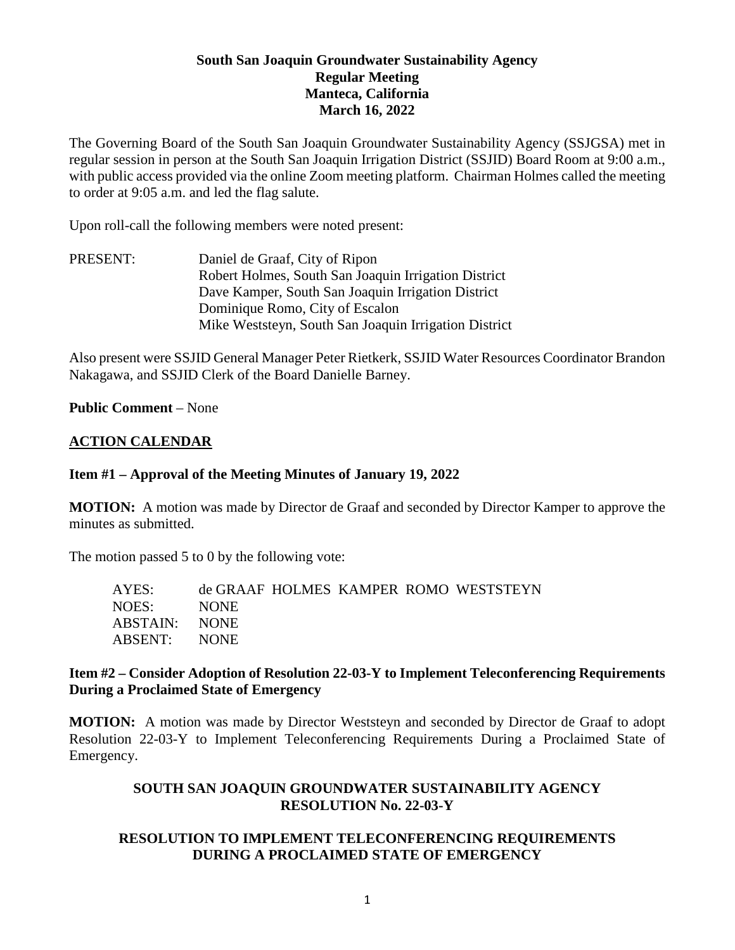# **South San Joaquin Groundwater Sustainability Agency Regular Meeting Manteca, California March 16, 2022**

The Governing Board of the South San Joaquin Groundwater Sustainability Agency (SSJGSA) met in regular session in person at the South San Joaquin Irrigation District (SSJID) Board Room at 9:00 a.m., with public access provided via the online Zoom meeting platform. Chairman Holmes called the meeting to order at 9:05 a.m. and led the flag salute.

Upon roll-call the following members were noted present:

PRESENT: Daniel de Graaf, City of Ripon Robert Holmes, South San Joaquin Irrigation District Dave Kamper, South San Joaquin Irrigation District Dominique Romo, City of Escalon Mike Weststeyn, South San Joaquin Irrigation District

Also present were SSJID General Manager Peter Rietkerk, SSJID Water Resources Coordinator Brandon Nakagawa, and SSJID Clerk of the Board Danielle Barney.

#### **Public Comment** – None

#### **ACTION CALENDAR**

#### **Item #1 – Approval of the Meeting Minutes of January 19, 2022**

**MOTION:** A motion was made by Director de Graaf and seconded by Director Kamper to approve the minutes as submitted.

The motion passed 5 to 0 by the following vote:

| AYES:         |             |  | de GRAAF HOLMES KAMPER ROMO WESTSTEYN |
|---------------|-------------|--|---------------------------------------|
| NOES:         | <b>NONE</b> |  |                                       |
| ABSTAIN: NONE |             |  |                                       |
| ABSENT: NONE  |             |  |                                       |
|               |             |  |                                       |

### **Item #2 – Consider Adoption of Resolution 22-03-Y to Implement Teleconferencing Requirements During a Proclaimed State of Emergency**

**MOTION:** A motion was made by Director Weststeyn and seconded by Director de Graaf to adopt Resolution 22-03-Y to Implement Teleconferencing Requirements During a Proclaimed State of Emergency.

### **SOUTH SAN JOAQUIN GROUNDWATER SUSTAINABILITY AGENCY RESOLUTION No. 22-03-Y**

# **RESOLUTION TO IMPLEMENT TELECONFERENCING REQUIREMENTS DURING A PROCLAIMED STATE OF EMERGENCY**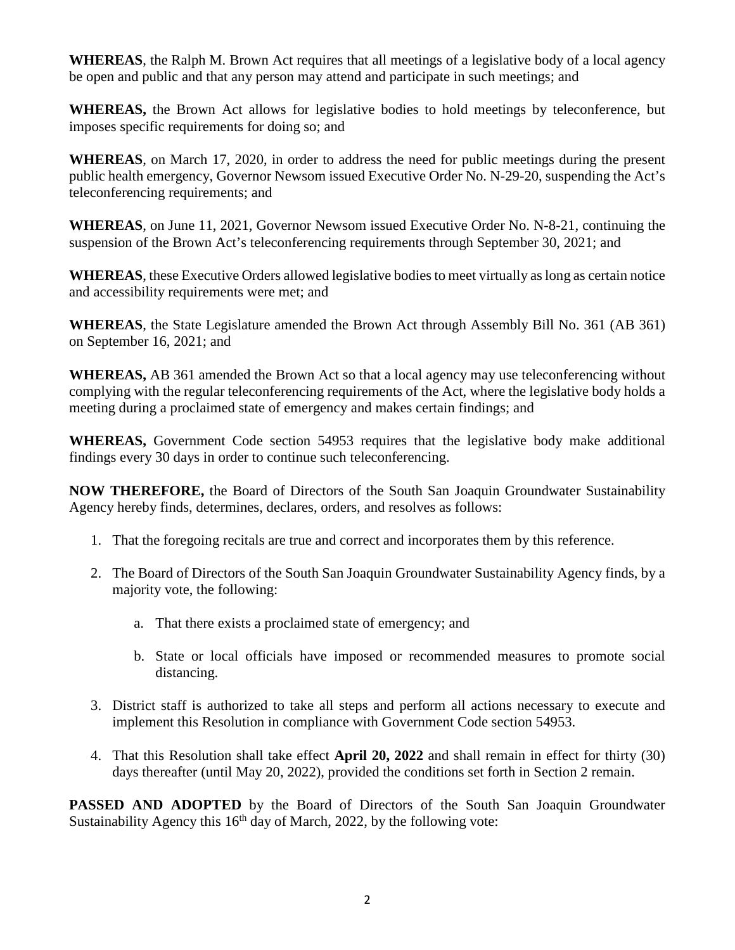**WHEREAS**, the Ralph M. Brown Act requires that all meetings of a legislative body of a local agency be open and public and that any person may attend and participate in such meetings; and

**WHEREAS,** the Brown Act allows for legislative bodies to hold meetings by teleconference, but imposes specific requirements for doing so; and

**WHEREAS**, on March 17, 2020, in order to address the need for public meetings during the present public health emergency, Governor Newsom issued Executive Order No. N-29-20, suspending the Act's teleconferencing requirements; and

**WHEREAS**, on June 11, 2021, Governor Newsom issued Executive Order No. N-8-21, continuing the suspension of the Brown Act's teleconferencing requirements through September 30, 2021; and

**WHEREAS**, these Executive Orders allowed legislative bodies to meet virtually as long as certain notice and accessibility requirements were met; and

**WHEREAS**, the State Legislature amended the Brown Act through Assembly Bill No. 361 (AB 361) on September 16, 2021; and

**WHEREAS,** AB 361 amended the Brown Act so that a local agency may use teleconferencing without complying with the regular teleconferencing requirements of the Act, where the legislative body holds a meeting during a proclaimed state of emergency and makes certain findings; and

**WHEREAS,** Government Code section 54953 requires that the legislative body make additional findings every 30 days in order to continue such teleconferencing.

**NOW THEREFORE,** the Board of Directors of the South San Joaquin Groundwater Sustainability Agency hereby finds, determines, declares, orders, and resolves as follows:

- 1. That the foregoing recitals are true and correct and incorporates them by this reference.
- 2. The Board of Directors of the South San Joaquin Groundwater Sustainability Agency finds, by a majority vote, the following:
	- a. That there exists a proclaimed state of emergency; and
	- b. State or local officials have imposed or recommended measures to promote social distancing.
- 3. District staff is authorized to take all steps and perform all actions necessary to execute and implement this Resolution in compliance with Government Code section 54953.
- 4. That this Resolution shall take effect **April 20, 2022** and shall remain in effect for thirty (30) days thereafter (until May 20, 2022), provided the conditions set forth in Section 2 remain.

**PASSED AND ADOPTED** by the Board of Directors of the South San Joaquin Groundwater Sustainability Agency this  $16<sup>th</sup>$  day of March, 2022, by the following vote: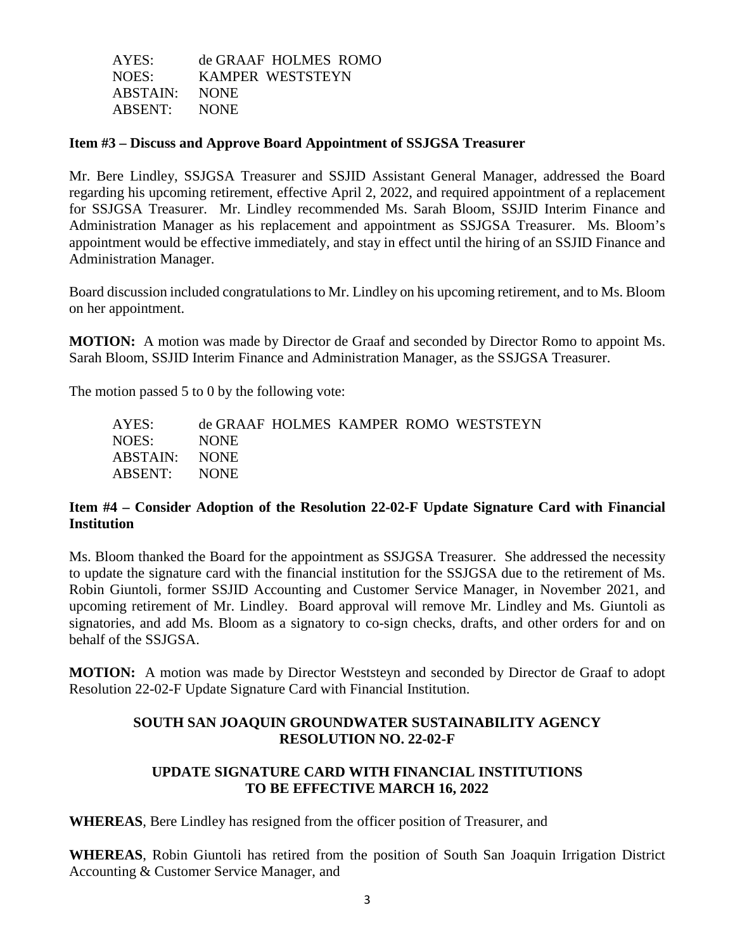| AYES:         | de GRAAF HOLMES ROMO |
|---------------|----------------------|
| NOES:         | KAMPER WESTSTEYN     |
| ABSTAIN: NONE |                      |
| ABSENT: NONE  |                      |

#### **Item #3 – Discuss and Approve Board Appointment of SSJGSA Treasurer**

Mr. Bere Lindley, SSJGSA Treasurer and SSJID Assistant General Manager, addressed the Board regarding his upcoming retirement, effective April 2, 2022, and required appointment of a replacement for SSJGSA Treasurer. Mr. Lindley recommended Ms. Sarah Bloom, SSJID Interim Finance and Administration Manager as his replacement and appointment as SSJGSA Treasurer. Ms. Bloom's appointment would be effective immediately, and stay in effect until the hiring of an SSJID Finance and Administration Manager.

Board discussion included congratulations to Mr. Lindley on his upcoming retirement, and to Ms. Bloom on her appointment.

**MOTION:** A motion was made by Director de Graaf and seconded by Director Romo to appoint Ms. Sarah Bloom, SSJID Interim Finance and Administration Manager, as the SSJGSA Treasurer.

The motion passed 5 to 0 by the following vote:

| AYES:         |             |  | de GRAAF HOLMES KAMPER ROMO WESTSTEYN |
|---------------|-------------|--|---------------------------------------|
| NOES:         | <b>NONE</b> |  |                                       |
| ABSTAIN: NONE |             |  |                                       |
| ABSENT: NONE  |             |  |                                       |

### **Item #4 – Consider Adoption of the Resolution 22-02-F Update Signature Card with Financial Institution**

Ms. Bloom thanked the Board for the appointment as SSJGSA Treasurer. She addressed the necessity to update the signature card with the financial institution for the SSJGSA due to the retirement of Ms. Robin Giuntoli, former SSJID Accounting and Customer Service Manager, in November 2021, and upcoming retirement of Mr. Lindley. Board approval will remove Mr. Lindley and Ms. Giuntoli as signatories, and add Ms. Bloom as a signatory to co-sign checks, drafts, and other orders for and on behalf of the SSJGSA.

**MOTION:** A motion was made by Director Weststeyn and seconded by Director de Graaf to adopt Resolution 22-02-F Update Signature Card with Financial Institution.

# **SOUTH SAN JOAQUIN GROUNDWATER SUSTAINABILITY AGENCY RESOLUTION NO. 22-02-F**

### **UPDATE SIGNATURE CARD WITH FINANCIAL INSTITUTIONS TO BE EFFECTIVE MARCH 16, 2022**

**WHEREAS**, Bere Lindley has resigned from the officer position of Treasurer, and

**WHEREAS**, Robin Giuntoli has retired from the position of South San Joaquin Irrigation District Accounting & Customer Service Manager, and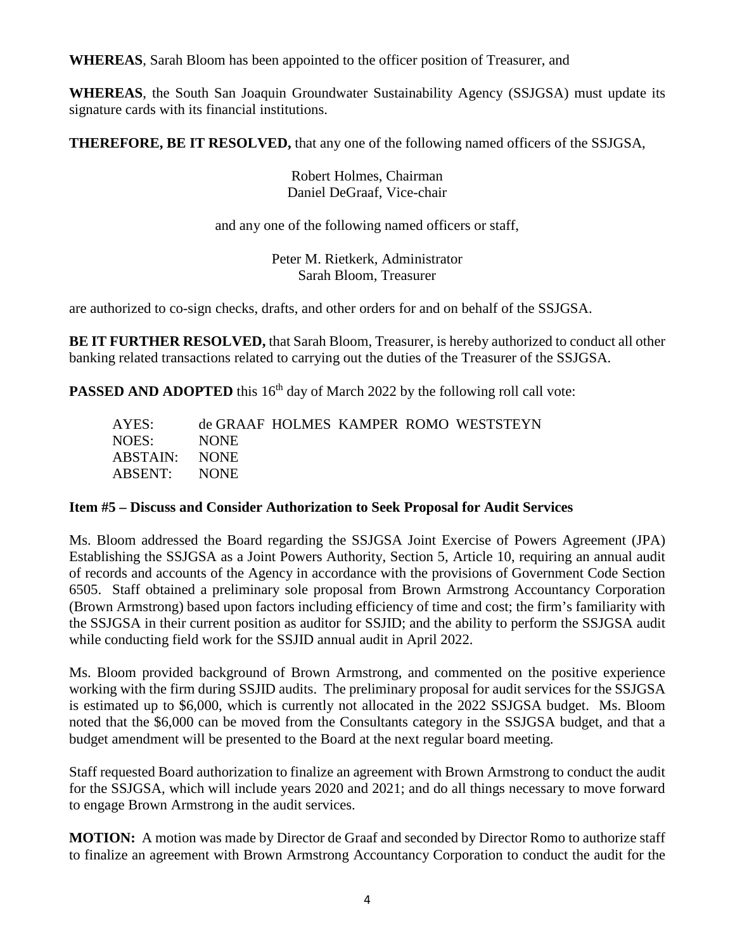**WHEREAS**, Sarah Bloom has been appointed to the officer position of Treasurer, and

**WHEREAS**, the South San Joaquin Groundwater Sustainability Agency (SSJGSA) must update its signature cards with its financial institutions.

**THEREFORE, BE IT RESOLVED,** that any one of the following named officers of the SSJGSA,

Robert Holmes, Chairman Daniel DeGraaf, Vice-chair

and any one of the following named officers or staff,

Peter M. Rietkerk, Administrator Sarah Bloom, Treasurer

are authorized to co-sign checks, drafts, and other orders for and on behalf of the SSJGSA.

**BE IT FURTHER RESOLVED,** that Sarah Bloom, Treasurer, is hereby authorized to conduct all other banking related transactions related to carrying out the duties of the Treasurer of the SSJGSA.

**PASSED AND ADOPTED** this 16<sup>th</sup> day of March 2022 by the following roll call vote:

| AYES:         |             |  | de GRAAF HOLMES KAMPER ROMO WESTSTEYN |
|---------------|-------------|--|---------------------------------------|
| NOES:         | <b>NONE</b> |  |                                       |
| ABSTAIN: NONE |             |  |                                       |
| ABSENT: NONE  |             |  |                                       |

# **Item #5 – Discuss and Consider Authorization to Seek Proposal for Audit Services**

Ms. Bloom addressed the Board regarding the SSJGSA Joint Exercise of Powers Agreement (JPA) Establishing the SSJGSA as a Joint Powers Authority, Section 5, Article 10, requiring an annual audit of records and accounts of the Agency in accordance with the provisions of Government Code Section 6505. Staff obtained a preliminary sole proposal from Brown Armstrong Accountancy Corporation (Brown Armstrong) based upon factors including efficiency of time and cost; the firm's familiarity with the SSJGSA in their current position as auditor for SSJID; and the ability to perform the SSJGSA audit while conducting field work for the SSJID annual audit in April 2022.

Ms. Bloom provided background of Brown Armstrong, and commented on the positive experience working with the firm during SSJID audits. The preliminary proposal for audit services for the SSJGSA is estimated up to \$6,000, which is currently not allocated in the 2022 SSJGSA budget. Ms. Bloom noted that the \$6,000 can be moved from the Consultants category in the SSJGSA budget, and that a budget amendment will be presented to the Board at the next regular board meeting.

Staff requested Board authorization to finalize an agreement with Brown Armstrong to conduct the audit for the SSJGSA, which will include years 2020 and 2021; and do all things necessary to move forward to engage Brown Armstrong in the audit services.

**MOTION:** A motion was made by Director de Graaf and seconded by Director Romo to authorize staff to finalize an agreement with Brown Armstrong Accountancy Corporation to conduct the audit for the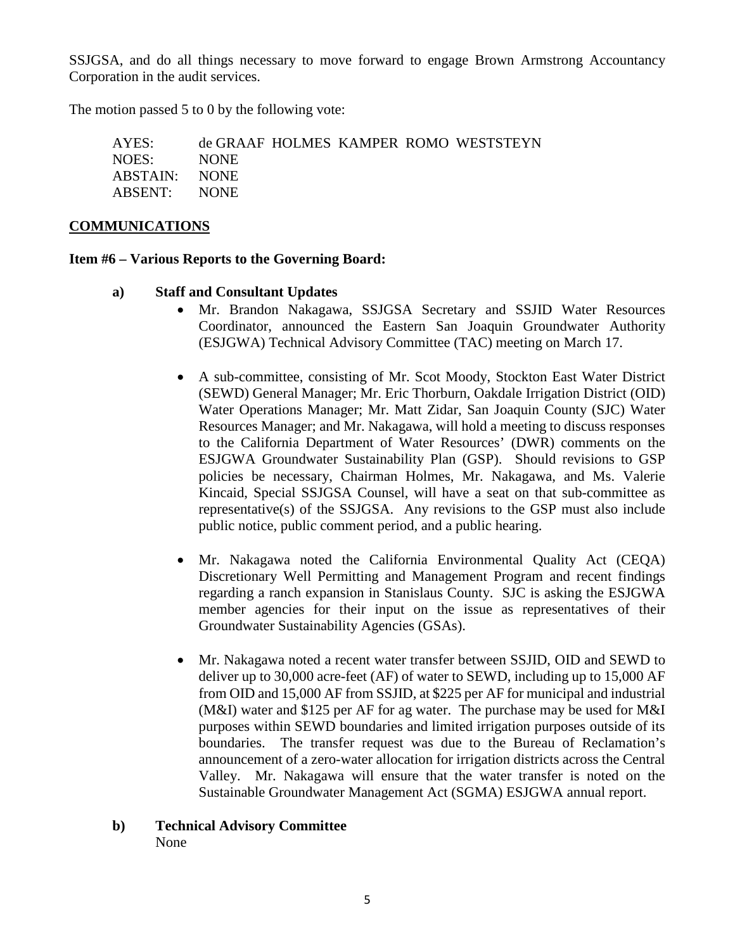SSJGSA, and do all things necessary to move forward to engage Brown Armstrong Accountancy Corporation in the audit services.

The motion passed 5 to 0 by the following vote:

| AYES:         |             |  | de GRAAF HOLMES KAMPER ROMO WESTSTEYN |
|---------------|-------------|--|---------------------------------------|
| NOES:         | <b>NONE</b> |  |                                       |
| ABSTAIN: NONE |             |  |                                       |
| ABSENT: NONE  |             |  |                                       |

#### **COMMUNICATIONS**

#### **Item #6 – Various Reports to the Governing Board:**

### **a) Staff and Consultant Updates**

- Mr. Brandon Nakagawa, SSJGSA Secretary and SSJID Water Resources Coordinator, announced the Eastern San Joaquin Groundwater Authority (ESJGWA) Technical Advisory Committee (TAC) meeting on March 17.
- A sub-committee, consisting of Mr. Scot Moody, Stockton East Water District (SEWD) General Manager; Mr. Eric Thorburn, Oakdale Irrigation District (OID) Water Operations Manager; Mr. Matt Zidar, San Joaquin County (SJC) Water Resources Manager; and Mr. Nakagawa, will hold a meeting to discuss responses to the California Department of Water Resources' (DWR) comments on the ESJGWA Groundwater Sustainability Plan (GSP). Should revisions to GSP policies be necessary, Chairman Holmes, Mr. Nakagawa, and Ms. Valerie Kincaid, Special SSJGSA Counsel, will have a seat on that sub-committee as representative(s) of the SSJGSA. Any revisions to the GSP must also include public notice, public comment period, and a public hearing.
- Mr. Nakagawa noted the California Environmental Quality Act (CEQA) Discretionary Well Permitting and Management Program and recent findings regarding a ranch expansion in Stanislaus County. SJC is asking the ESJGWA member agencies for their input on the issue as representatives of their Groundwater Sustainability Agencies (GSAs).
- Mr. Nakagawa noted a recent water transfer between SSJID, OID and SEWD to deliver up to 30,000 acre-feet (AF) of water to SEWD, including up to 15,000 AF from OID and 15,000 AF from SSJID, at \$225 per AF for municipal and industrial (M&I) water and \$125 per AF for ag water. The purchase may be used for M&I purposes within SEWD boundaries and limited irrigation purposes outside of its boundaries. The transfer request was due to the Bureau of Reclamation's announcement of a zero-water allocation for irrigation districts across the Central Valley. Mr. Nakagawa will ensure that the water transfer is noted on the Sustainable Groundwater Management Act (SGMA) ESJGWA annual report.
- **b) Technical Advisory Committee** None